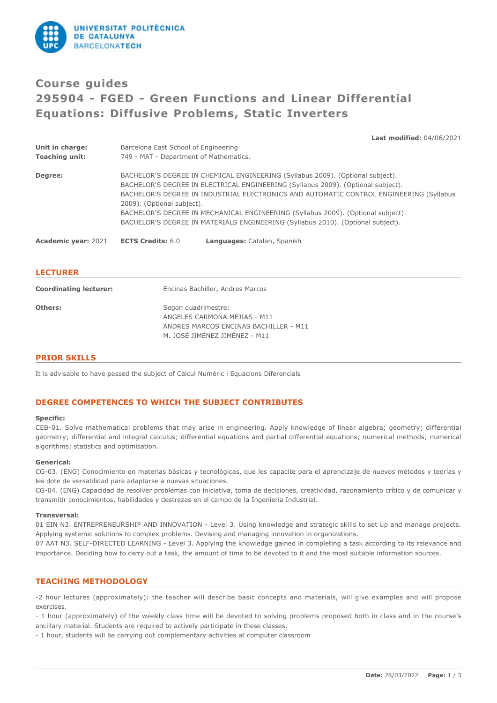

# **Course guides 295904 - FGED - Green Functions and Linear Differential Equations: Diffusive Problems, Static Inverters**

**Last modified:** 04/06/2021

| Unit in charge:            | Barcelona East School of Engineering                                                    |
|----------------------------|-----------------------------------------------------------------------------------------|
| <b>Teaching unit:</b>      | 749 - MAT - Department of Mathematics.                                                  |
| Degree:                    | BACHELOR'S DEGREE IN CHEMICAL ENGINEERING (Syllabus 2009). (Optional subject).          |
|                            | BACHELOR'S DEGREE IN ELECTRICAL ENGINEERING (Syllabus 2009). (Optional subject).        |
|                            | BACHELOR'S DEGREE IN INDUSTRIAL ELECTRONICS AND AUTOMATIC CONTROL ENGINEERING (Syllabus |
|                            | 2009). (Optional subject).                                                              |
|                            | BACHELOR'S DEGREE IN MECHANICAL ENGINEERING (Syllabus 2009). (Optional subject).        |
|                            | BACHELOR'S DEGREE IN MATERIALS ENGINEERING (Syllabus 2010). (Optional subject).         |
| <b>Academic year: 2021</b> | <b>ECTS Credits: 6.0</b><br>Languages: Catalan, Spanish                                 |

# **LECTURER**

| <b>Coordinating lecturer:</b> | Encinas Bachiller, Andres Marcos                                                                                              |
|-------------------------------|-------------------------------------------------------------------------------------------------------------------------------|
| Others:                       | Segon quadrimestre:<br>ANGELES CARMONA MEJIAS - M11<br>ANDRES MARCOS ENCINAS BACHILLER - M11<br>M. JOSÉ JIMÉNEZ JIMÉNEZ - M11 |

# **PRIOR SKILLS**

It is advisable to have passed the subject of Càlcul Numèric i Equacions Diferencials

# **DEGREE COMPETENCES TO WHICH THE SUBJECT CONTRIBUTES**

#### **Specific:**

CEB-01. Solve mathematical problems that may arise in engineering. Apply knowledge of linear algebra; geometry; differential geometry; differential and integral calculus; differential equations and partial differential equations; numerical methods; numerical algorithms; statistics and optimisation.

## **Generical:**

CG-03. (ENG) Conocimiento en materias básicas y tecnológicas, que les capacite para el aprendizaje de nuevos métodos y teorías y les dote de versatilidad para adaptarse a nuevas situaciones.

CG-04. (ENG) Capacidad de resolver problemas con iniciativa, toma de decisiones, creatividad, razonamiento crítico y de comunicar y transmitir conocimientos, habilidades y destrezas en el campo de la Ingeniería Industrial.

#### **Transversal:**

01 EIN N3. ENTREPRENEURSHIP AND INNOVATION - Level 3. Using knowledge and strategic skills to set up and manage projects. Applying systemic solutions to complex problems. Devising and managing innovation in organizations.

07 AAT N3. SELF-DIRECTED LEARNING - Level 3. Applying the knowledge gained in completing a task according to its relevance and importance. Deciding how to carry out a task, the amount of time to be devoted to it and the most suitable information sources.

# **TEACHING METHODOLOGY**

-2 hour lectures (approximately): the teacher will describe basic concepts and materials, will give examples and will propose exercises.

- 1 hour (approximately) of the weekly class time will be devoted to solving problems proposed both in class and in the course's ancillary material. Students are required to actively participate in these classes.

- 1 hour, students will be carrying out complementary activities at computer classroom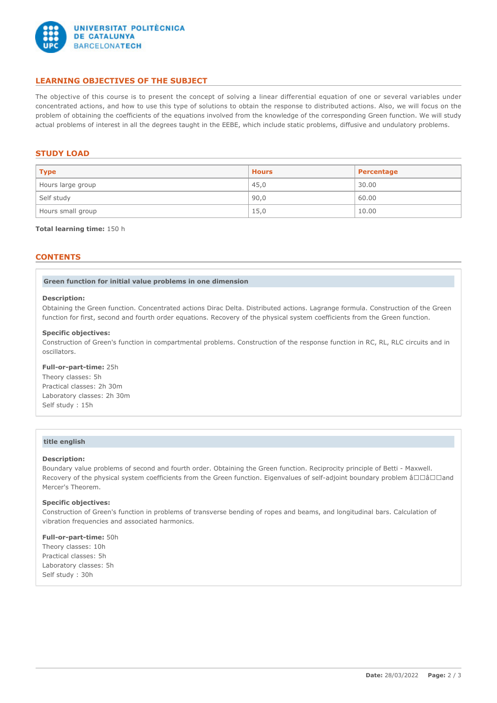

# **LEARNING OBJECTIVES OF THE SUBJECT**

The objective of this course is to present the concept of solving a linear differential equation of one or several variables under concentrated actions, and how to use this type of solutions to obtain the response to distributed actions. Also, we will focus on the problem of obtaining the coefficients of the equations involved from the knowledge of the corresponding Green function. We will study actual problems of interest in all the degrees taught in the EEBE, which include static problems, diffusive and undulatory problems.

# **STUDY LOAD**

| <b>Type</b>       | <b>Hours</b> | Percentage |
|-------------------|--------------|------------|
| Hours large group | 45,0         | 30.00      |
| Self study        | 90,0         | 60.00      |
| Hours small group | 15,0         | 10.00      |

#### **Total learning time:** 150 h

# **CONTENTS**

**Green function for initial value problems in one dimension**

#### **Description:**

Obtaining the Green function. Concentrated actions Dirac Delta. Distributed actions. Lagrange formula. Construction of the Green function for first, second and fourth order equations. Recovery of the physical system coefficients from the Green function.

#### **Specific objectives:**

Construction of Green's function in compartmental problems. Construction of the response function in RC, RL, RLC circuits and in oscillators.

#### **Full-or-part-time:** 25h

Theory classes: 5h Practical classes: 2h 30m Laboratory classes: 2h 30m Self study : 15h

# **title english**

### **Description:**

Boundary value problems of second and fourth order. Obtaining the Green function. Reciprocity principle of Betti - Maxwell. Recovery of the physical system coefficients from the Green function. Eigenvalues of self-adjoint boundary problem â $\Box\Box\Box$ and Mercer's Theorem.

## **Specific objectives:**

Construction of Green's function in problems of transverse bending of ropes and beams, and longitudinal bars. Calculation of vibration frequencies and associated harmonics.

**Full-or-part-time:** 50h Theory classes: 10h Practical classes: 5h Laboratory classes: 5h Self study : 30h